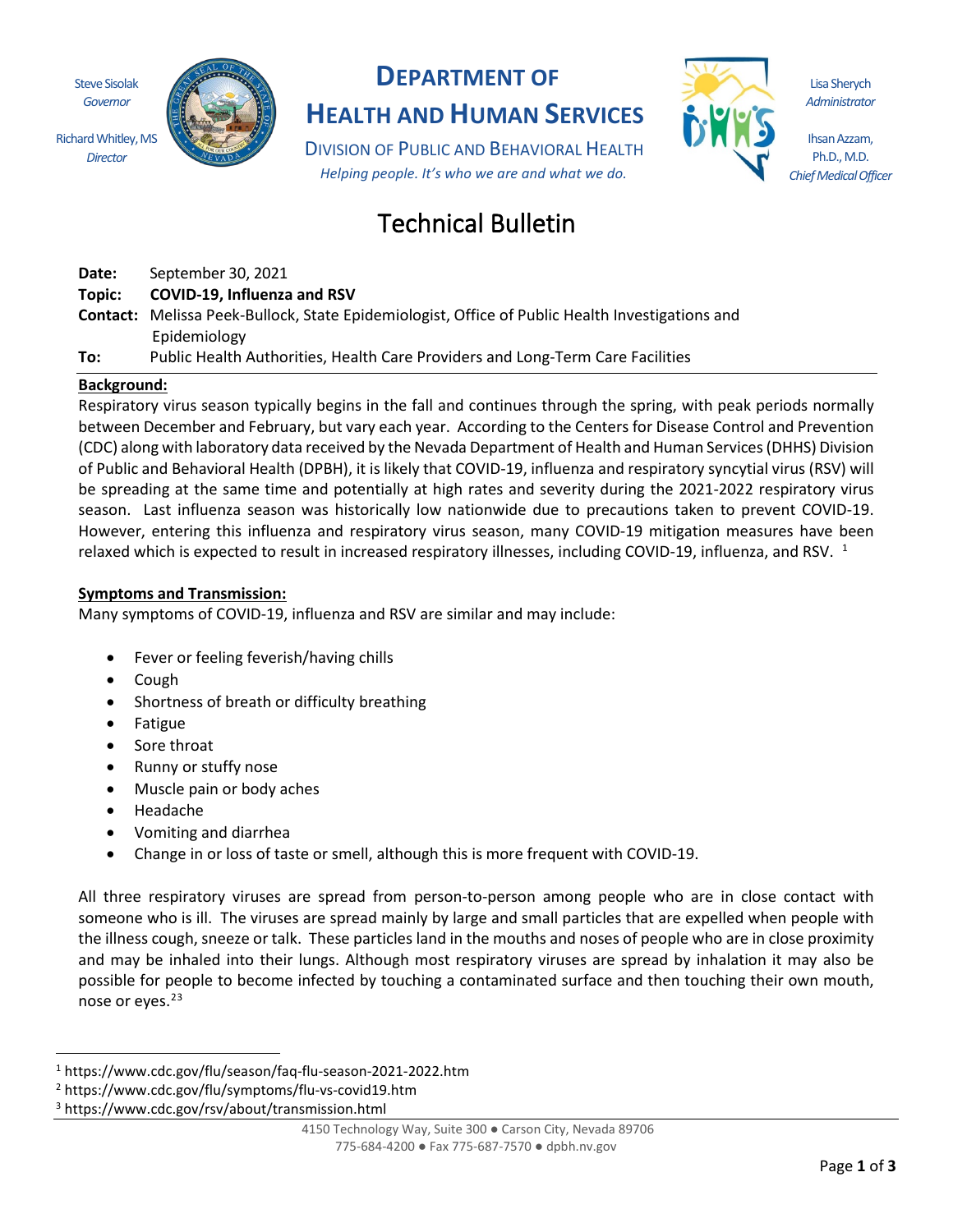Steve Sisolak *Governor*

*Director*



# **DEPARTMENT OF**

**HEALTH AND HUMAN SERVICES**

DIVISION OF PUBLIC AND BEHAVIORAL HEALTH *Helping people. It's who we are and what we do.*



Lisa Sherych *Administrator*

Ihsan Azzam, Ph.D., M.D. *Chief Medical Officer*

# Technical Bulletin

**Date:** September 30, 2021

**Topic: COVID-19, Influenza and RSV**

**Contact:** Melissa Peek-Bullock, State Epidemiologist, Office of Public Health Investigations and Epidemiology

**To:** Public Health Authorities, Health Care Providers and Long-Term Care Facilities

## **Background:**

Respiratory virus season typically begins in the fall and continues through the spring, with peak periods normally between December and February, but vary each year. According to the Centers for Disease Control and Prevention (CDC) along with laboratory data received by the Nevada Department of Health and Human Services (DHHS) Division of Public and Behavioral Health (DPBH), it is likely that COVID-19, influenza and respiratory syncytial virus (RSV) will be spreading at the same time and potentially at high rates and severity during the 2021-2022 respiratory virus season. Last influenza season was historically low nationwide due to precautions taken to prevent COVID-19. However, entering this influenza and respiratory virus season, many COVID-19 mitigation measures have been relaxed which is expected to result in increased respiratory illnesses, including COVID-19, influenza, and RSV. <sup>1</sup>

## **Symptoms and Transmission:**

Many symptoms of COVID-19, influenza and RSV are similar and may include:

- Fever or feeling feverish/having chills
- Cough
- Shortness of breath or difficulty breathing
- Fatigue
- Sore throat
- Runny or stuffy nose
- Muscle pain or body aches
- Headache
- Vomiting and diarrhea
- Change in or loss of taste or smell, although this is more frequent with COVID-19.

All three respiratory viruses are spread from person-to-person among people who are in close contact with someone who is ill. The viruses are spread mainly by large and small particles that are expelled when people with the illness cough, sneeze or talk. These particles land in the mouths and noses of people who are in close proximity and may be inhaled into their lungs. Although most respiratory viruses are spread by inhalation it may also be possible for people to become infected by touching a contaminated surface and then touching their own mouth, nose or eyes.<sup>23</sup>

<sup>1</sup> https://www.cdc.gov/flu/season/faq-flu-season-2021-2022.htm

<sup>2</sup> https://www.cdc.gov/flu/symptoms/flu-vs-covid19.htm

<sup>3</sup> https://www.cdc.gov/rsv/about/transmission.html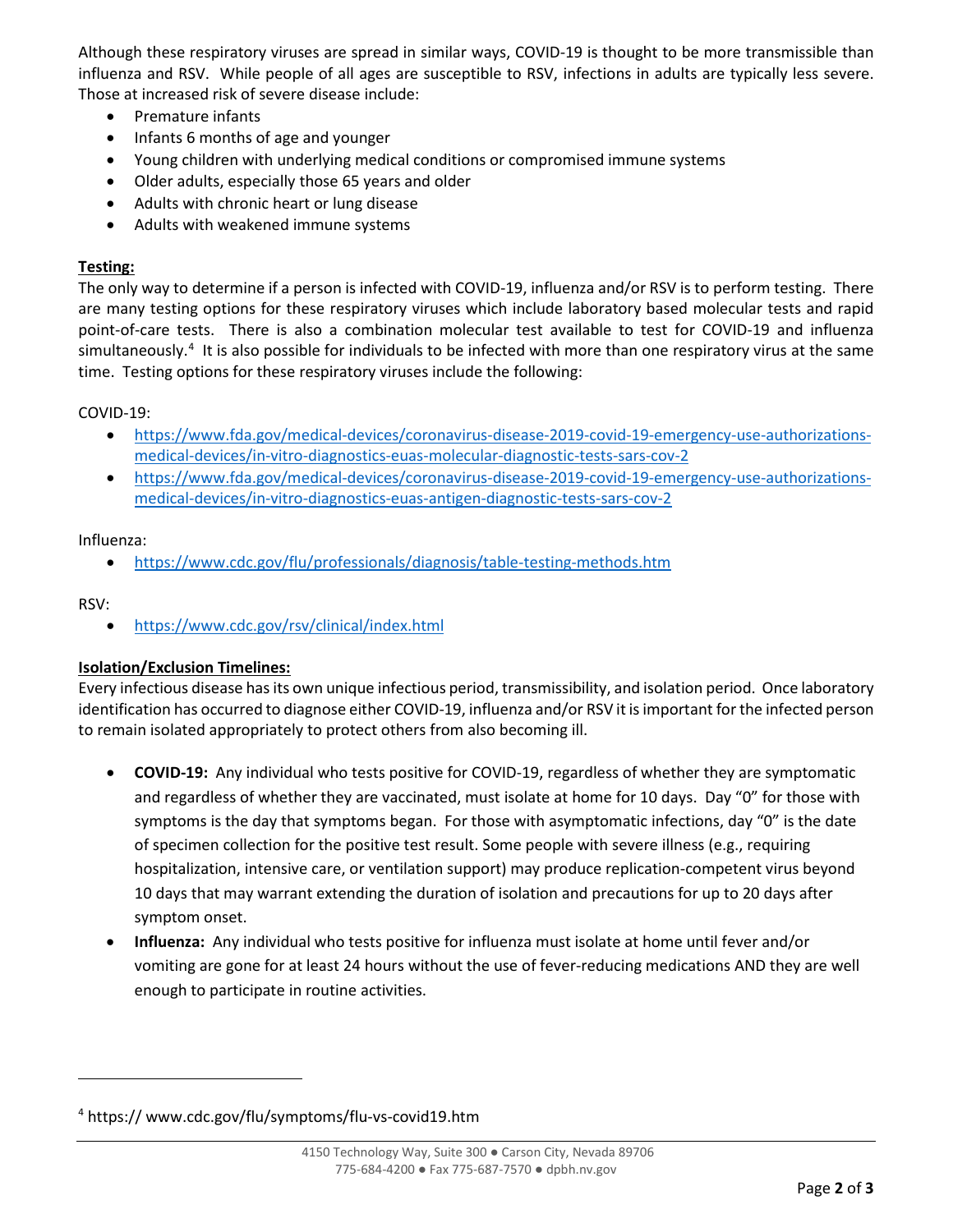Although these respiratory viruses are spread in similar ways, COVID-19 is thought to be more transmissible than influenza and RSV. While people of all ages are susceptible to RSV, infections in adults are typically less severe. Those at increased risk of severe disease include:

- Premature infants
- Infants 6 months of age and younger
- Young children with underlying medical conditions or compromised immune systems
- Older adults, especially those 65 years and older
- Adults with chronic heart or lung disease
- Adults with weakened immune systems

#### **Testing:**

The only way to determine if a person is infected with COVID-19, influenza and/or RSV is to perform testing. There are many testing options for these respiratory viruses which include laboratory based molecular tests and rapid point-of-care tests. There is also a combination molecular test available to test for COVID-19 and influenza simultaneously.<sup>4</sup> It is also possible for individuals to be infected with more than one respiratory virus at the same time. Testing options for these respiratory viruses include the following:

COVID-19:

- https://www.fda.gov/medical-devices/coronavirus-disease-2019-covid-19-emergency-use-authorizationsmedical-devices/in-vitro-diagnostics-euas-molecular-diagnostic-tests-sars-cov-2
- https://www.fda.gov/medical-devices/coronavirus-disease-2019-covid-19-emergency-use-authorizationsmedical-devices/in-vitro-diagnostics-euas-antigen-diagnostic-tests-sars-cov-2

Influenza:

• https://www.cdc.gov/flu/professionals/diagnosis/table-testing-methods.htm

RSV:

• https://www.cdc.gov/rsv/clinical/index.html

#### **Isolation/Exclusion Timelines:**

Every infectious disease has its own unique infectious period, transmissibility, and isolation period. Once laboratory identification has occurred to diagnose either COVID-19, influenza and/or RSV it is important for the infected person to remain isolated appropriately to protect others from also becoming ill.

- **COVID-19:** Any individual who tests positive for COVID-19, regardless of whether they are symptomatic and regardless of whether they are vaccinated, must isolate at home for 10 days. Day "0" for those with symptoms is the day that symptoms began. For those with asymptomatic infections, day "0" is the date of specimen collection for the positive test result. Some people with severe illness (e.g., requiring hospitalization, intensive care, or ventilation support) may produce replication-competent virus beyond 10 days that may warrant extending the duration of isolation and precautions for up to 20 days after symptom onset.
- **Influenza:** Any individual who tests positive for influenza must isolate at home until fever and/or vomiting are gone for at least 24 hours without the use of fever-reducing medications AND they are well enough to participate in routine activities.

<sup>4</sup> https:// www.cdc.gov/flu/symptoms/flu-vs-covid19.htm